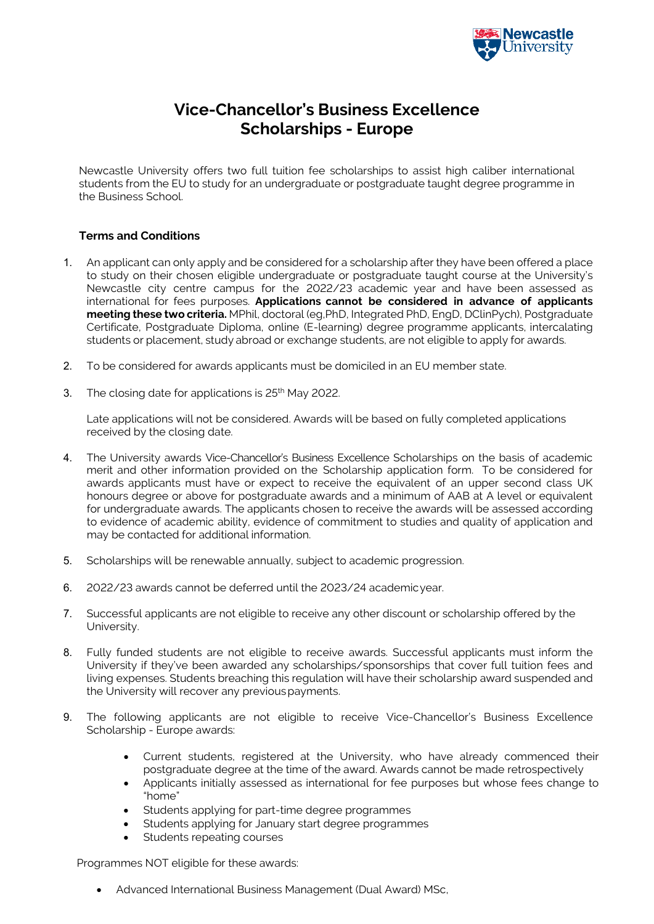

## **Vice-Chancellor's Business Excellence Scholarships - Europe**

Newcastle University offers two full tuition fee scholarships to assist high caliber international students from the EU to study for an undergraduate or postgraduate taught degree programme in the Business School.

## **Terms and Conditions**

- 1. An applicant can only apply and be considered for a scholarship after they have been offered a place to study on their chosen eligible undergraduate or postgraduate taught course at the University's Newcastle city centre campus for the 2022/23 academic year and have been assessed as international for fees purposes. **Applications cannot be considered in advance of applicants meeting these two criteria.** MPhil, doctoral (eg,PhD, Integrated PhD, EngD, DClinPych), Postgraduate Certificate, Postgraduate Diploma, online (E-learning) degree programme applicants, intercalating students or placement, study abroad or exchange students, are not eligible to apply for awards.
- 2. To be considered for awards applicants must be domiciled in an EU member state.
- 3. The closing date for applications is 25<sup>th</sup> May 2022.

Late applications will not be considered. Awards will be based on fully completed applications received by the closing date.

- 4. The University awards Vice-Chancellor's Business Excellence Scholarships on the basis of academic merit and other information provided on the Scholarship application form. To be considered for awards applicants must have or expect to receive the equivalent of an upper second class UK honours degree or above for postgraduate awards and a minimum of AAB at A level or equivalent for undergraduate awards. The applicants chosen to receive the awards will be assessed according to evidence of academic ability, evidence of commitment to studies and quality of application and may be contacted for additional information.
- 5. Scholarships will be renewable annually, subject to academic progression.
- 6. 2022/23 awards cannot be deferred until the 2023/24 academicyear.
- 7. Successful applicants are not eligible to receive any other discount or scholarship offered by the University.
- 8. Fully funded students are not eligible to receive awards. Successful applicants must inform the University if they've been awarded any scholarships/sponsorships that cover full tuition fees and living expenses. Students breaching this regulation will have their scholarship award suspended and the University will recover any previouspayments.
- 9. The following applicants are not eligible to receive Vice-Chancellor's Business Excellence Scholarship - Europe awards:
	- Current students, registered at the University, who have already commenced their postgraduate degree at the time of the award. Awards cannot be made retrospectively
	- Applicants initially assessed as international for fee purposes but whose fees change to "home"
	- Students applying for part-time degree programmes
	- Students applying for January start degree programmes
	- Students repeating courses

Programmes NOT eligible for these awards:

• Advanced International Business Management (Dual Award) MSc,